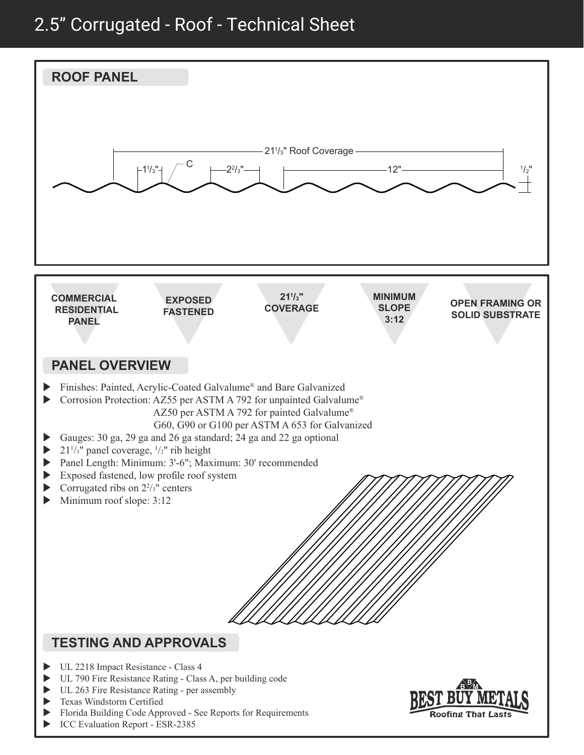## 2.5" Corrugated - Roof - Technical Sheet